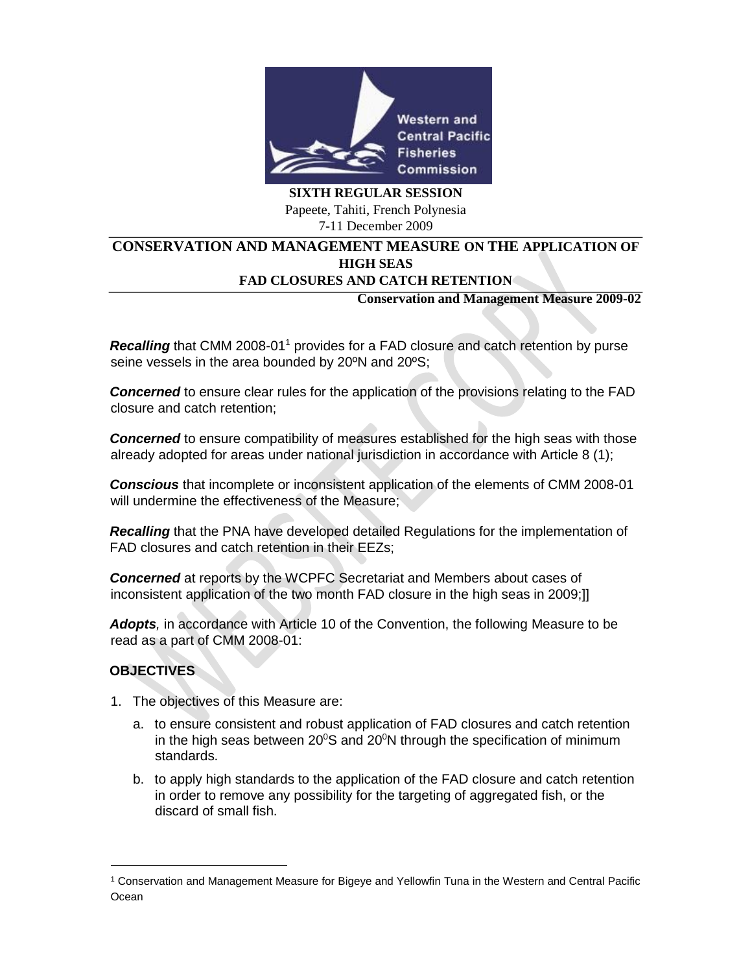

**SIXTH REGULAR SESSION**  Papeete, Tahiti, French Polynesia 7-11 December 2009

### **CONSERVATION AND MANAGEMENT MEASURE ON THE APPLICATION OF HIGH SEAS FAD CLOSURES AND CATCH RETENTION**

### **Conservation and Management Measure 2009-02**

**Recalling** that CMM 2008-01<sup>1</sup> provides for a FAD closure and catch retention by purse seine vessels in the area bounded by 20ºN and 20ºS;

*Concerned* to ensure clear rules for the application of the provisions relating to the FAD closure and catch retention;

*Concerned* to ensure compatibility of measures established for the high seas with those already adopted for areas under national jurisdiction in accordance with Article 8 (1);

*Conscious* that incomplete or inconsistent application of the elements of CMM 2008-01 will undermine the effectiveness of the Measure;

*Recalling* that the PNA have developed detailed Regulations for the implementation of FAD closures and catch retention in their EEZs;

*Concerned* at reports by the WCPFC Secretariat and Members about cases of inconsistent application of the two month FAD closure in the high seas in 2009;]]

*Adopts,* in accordance with Article 10 of the Convention, the following Measure to be read as a part of CMM 2008-01:

# **OBJECTIVES**

- 1. The objectives of this Measure are:
	- a. to ensure consistent and robust application of FAD closures and catch retention in the high seas between  $20^{\circ}$ S and  $20^{\circ}$ N through the specification of minimum standards.
	- b. to apply high standards to the application of the FAD closure and catch retention in order to remove any possibility for the targeting of aggregated fish, or the discard of small fish.

<sup>1</sup> Conservation and Management Measure for Bigeye and Yellowfin Tuna in the Western and Central Pacific **Ocean**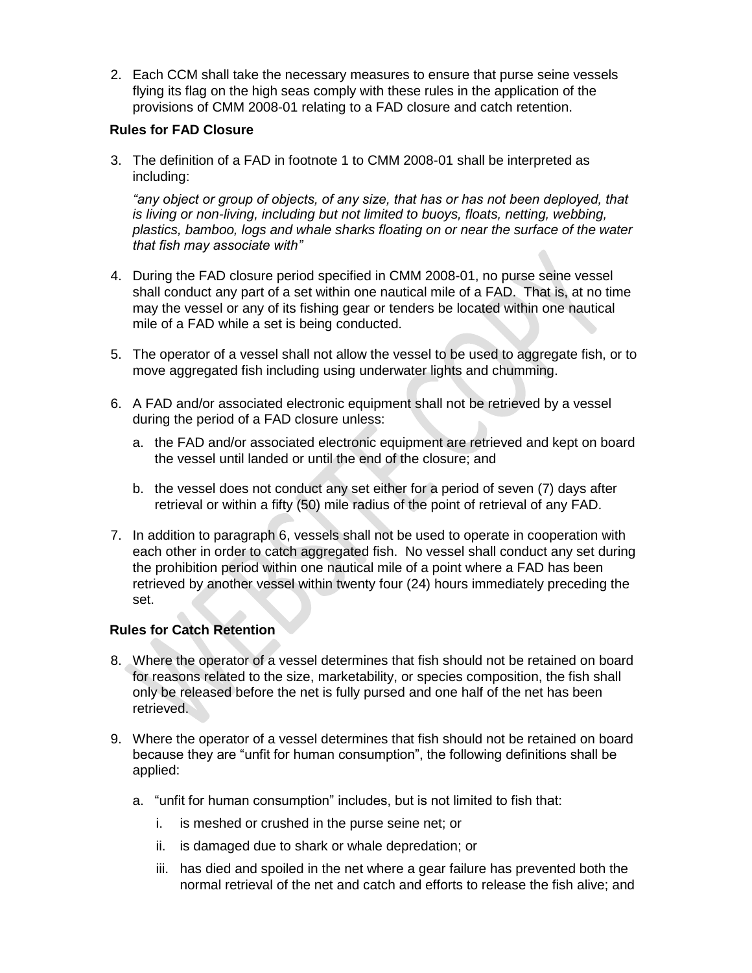2. Each CCM shall take the necessary measures to ensure that purse seine vessels flying its flag on the high seas comply with these rules in the application of the provisions of CMM 2008-01 relating to a FAD closure and catch retention.

# **Rules for FAD Closure**

3. The definition of a FAD in footnote 1 to CMM 2008-01 shall be interpreted as including:

*"any object or group of objects, of any size, that has or has not been deployed, that is living or non-living, including but not limited to [buoys,](http://en.wikipedia.org/wiki/Buoy) floats, netting, webbing, plastics, bamboo, logs and whale sharks floating on or near the surface of the water that fish may associate with"* 

- 4. During the FAD closure period specified in CMM 2008-01, no purse seine vessel shall conduct any part of a set within one nautical mile of a FAD. That is, at no time may the vessel or any of its fishing gear or tenders be located within one nautical mile of a FAD while a set is being conducted.
- 5. The operator of a vessel shall not allow the vessel to be used to aggregate fish, or to move aggregated fish including using underwater lights and chumming.
- 6. A FAD and/or associated electronic equipment shall not be retrieved by a vessel during the period of a FAD closure unless:
	- a. the FAD and/or associated electronic equipment are retrieved and kept on board the vessel until landed or until the end of the closure; and
	- b. the vessel does not conduct any set either for a period of seven (7) days after retrieval or within a fifty (50) mile radius of the point of retrieval of any FAD.
- 7. In addition to paragraph 6, vessels shall not be used to operate in cooperation with each other in order to catch aggregated fish. No vessel shall conduct any set during the prohibition period within one nautical mile of a point where a FAD has been retrieved by another vessel within twenty four (24) hours immediately preceding the set.

# **Rules for Catch Retention**

- 8. Where the operator of a vessel determines that fish should not be retained on board for reasons related to the size, marketability, or species composition, the fish shall only be released before the net is fully pursed and one half of the net has been retrieved.
- 9. Where the operator of a vessel determines that fish should not be retained on board because they are "unfit for human consumption", the following definitions shall be applied:
	- a. "unfit for human consumption" includes, but is not limited to fish that:
		- i. is meshed or crushed in the purse seine net; or
		- ii. is damaged due to shark or whale depredation; or
		- iii. has died and spoiled in the net where a gear failure has prevented both the normal retrieval of the net and catch and efforts to release the fish alive; and